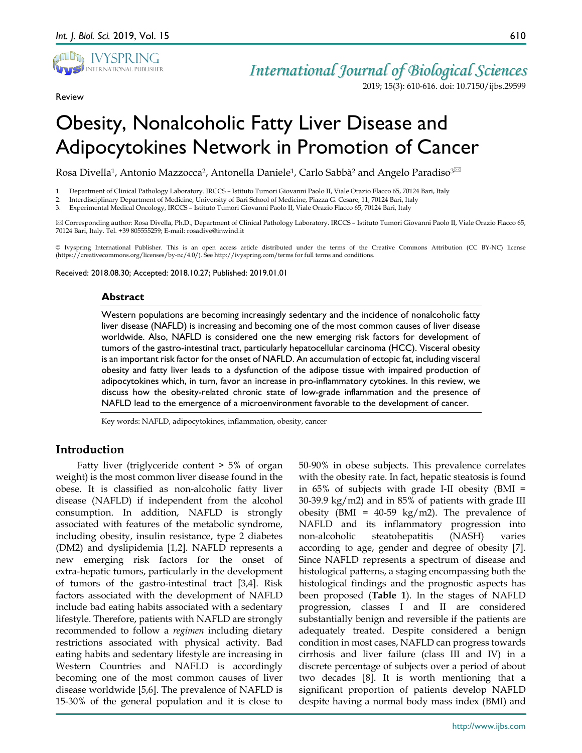

Review

## *International Journal of Biological Sciences*

2019; 15(3): 610-616. doi: 10.7150/ijbs.29599

# Obesity, Nonalcoholic Fatty Liver Disease and Adipocytokines Network in Promotion of Cancer

Rosa Divella<sup>1</sup>, Antonio Mazzocca<sup>2</sup>, Antonella Daniele<sup>1</sup>, Carlo Sabbà<sup>2</sup> and Angelo Paradiso<sup>3⊠</sup>

1. Department of Clinical Pathology Laboratory. IRCCS – Istituto Tumori Giovanni Paolo II, Viale Orazio Flacco 65, 70124 Bari, Italy

2. Interdisciplinary Department of Medicine, University of Bari School of Medicine, Piazza G. Cesare, 11, 70124 Bari, Italy

3. Experimental Medical Oncology, IRCCS – Istituto Tumori Giovanni Paolo II, Viale Orazio Flacco 65, 70124 Bari, Italy

 Corresponding author: Rosa Divella, Ph.D., Department of Clinical Pathology Laboratory. IRCCS – Istituto Tumori Giovanni Paolo II, Viale Orazio Flacco 65, 70124 Bari, Italy. Tel. +39 805555259; E-mail: rosadive@inwind.it

© Ivyspring International Publisher. This is an open access article distributed under the terms of the Creative Commons Attribution (CC BY-NC) license (https://creativecommons.org/licenses/by-nc/4.0/). See http://ivyspring.com/terms for full terms and conditions.

Received: 2018.08.30; Accepted: 2018.10.27; Published: 2019.01.01

## **Abstract**

Western populations are becoming increasingly sedentary and the incidence of nonalcoholic fatty liver disease (NAFLD) is increasing and becoming one of the most common causes of liver disease worldwide. Also, NAFLD is considered one the new emerging risk factors for development of tumors of the gastro-intestinal tract, particularly hepatocellular carcinoma (HCC). Visceral obesity is an important risk factor for the onset of NAFLD. An accumulation of ectopic fat, including visceral obesity and fatty liver leads to a dysfunction of the adipose tissue with impaired production of adipocytokines which, in turn, favor an increase in pro-inflammatory cytokines. In this review, we discuss how the obesity-related chronic state of low-grade inflammation and the presence of NAFLD lead to the emergence of a microenvironment favorable to the development of cancer.

Key words: NAFLD, adipocytokines, inflammation, obesity, cancer

## **Introduction**

Fatty liver (triglyceride content > 5% of organ weight) is the most common liver disease found in the obese. It is classified as non-alcoholic fatty liver disease (NAFLD) if independent from the alcohol consumption. In addition, NAFLD is strongly associated with features of the metabolic syndrome, including obesity, insulin resistance, type 2 diabetes (DM2) and dyslipidemia [1,2]. NAFLD represents a new emerging risk factors for the onset of extra-hepatic tumors, particularly in the development of tumors of the gastro-intestinal tract [3,4]. Risk factors associated with the development of NAFLD include bad eating habits associated with a sedentary lifestyle. Therefore, patients with NAFLD are strongly recommended to follow a *regimen* including dietary restrictions associated with physical activity. Bad eating habits and sedentary lifestyle are increasing in Western Countries and NAFLD is accordingly becoming one of the most common causes of liver disease worldwide [5,6]. The prevalence of NAFLD is 15-30% of the general population and it is close to

50-90% in obese subjects. This prevalence correlates with the obesity rate. In fact, hepatic steatosis is found in 65% of subjects with grade I-II obesity (BMI = 30-39.9 kg/m2) and in 85% of patients with grade III obesity (BMI =  $40-59 \text{ kg/m2}$ ). The prevalence of NAFLD and its inflammatory progression into non-alcoholic steatohepatitis (NASH) varies according to age, gender and degree of obesity [7]. Since NAFLD represents a spectrum of disease and histological patterns, a staging encompassing both the histological findings and the prognostic aspects has been proposed (**Table 1**). In the stages of NAFLD progression, classes I and II are considered substantially benign and reversible if the patients are adequately treated. Despite considered a benign condition in most cases, NAFLD can progress towards cirrhosis and liver failure (class III and IV) in a discrete percentage of subjects over a period of about two decades [8]. It is worth mentioning that a significant proportion of patients develop NAFLD despite having a normal body mass index (BMI) and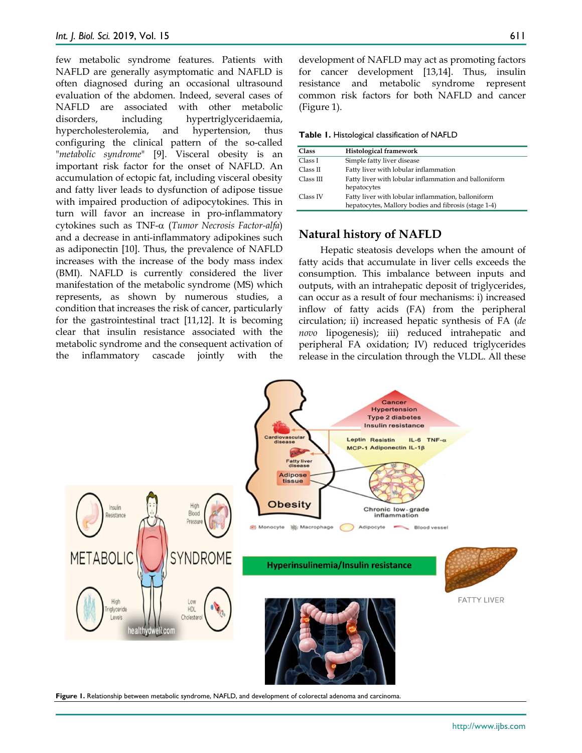few metabolic syndrome features. Patients with NAFLD are generally asymptomatic and NAFLD is often diagnosed during an occasional ultrasound evaluation of the abdomen. Indeed, several cases of NAFLD are associated with other metabolic disorders, including hypertriglyceridaemia, hypercholesterolemia, and hypertension, thus configuring the clinical pattern of the so-called "*metabolic syndrome*" [9]. Visceral obesity is an important risk factor for the onset of NAFLD. An accumulation of ectopic fat, including visceral obesity and fatty liver leads to dysfunction of adipose tissue with impaired production of adipocytokines. This in turn will favor an increase in pro-inflammatory cytokines such as TNF-α (*Tumor Necrosis Factor-alfa*) and a decrease in anti-inflammatory adipokines such as adiponectin [10]. Thus, the prevalence of NAFLD increases with the increase of the body mass index (BMI). NAFLD is currently considered the liver manifestation of the metabolic syndrome (MS) which represents, as shown by numerous studies, a condition that increases the risk of cancer, particularly for the gastrointestinal tract [11,12]. It is becoming clear that insulin resistance associated with the metabolic syndrome and the consequent activation of the inflammatory cascade jointly with the

development of NAFLD may act as promoting factors for cancer development [13,14]. Thus, insulin resistance and metabolic syndrome represent common risk factors for both NAFLD and cancer (Figure 1).

**Table 1.** Histological classification of NAFLD

| Class     | Histological framework                                                                                     |
|-----------|------------------------------------------------------------------------------------------------------------|
| Class I   | Simple fatty liver disease                                                                                 |
| Class II  | Fatty liver with lobular inflammation                                                                      |
| Class III | Fatty liver with lobular inflammation and balloniform<br>hepatocytes                                       |
| Class IV  | Fatty liver with lobular inflammation, balloniform<br>hepatocytes, Mallory bodies and fibrosis (stage 1-4) |

#### **Natural history of NAFLD**

Hepatic steatosis develops when the amount of fatty acids that accumulate in liver cells exceeds the consumption. This imbalance between inputs and outputs, with an intrahepatic deposit of triglycerides, can occur as a result of four mechanisms: i) increased inflow of fatty acids (FA) from the peripheral circulation; ii) increased hepatic synthesis of FA (*de novo* lipogenesis); iii) reduced intrahepatic and peripheral FA oxidation; IV) reduced triglycerides release in the circulation through the VLDL. All these



**Figure 1.** Relationship between metabolic syndrome, NAFLD, and development of colorectal adenoma and carcinoma.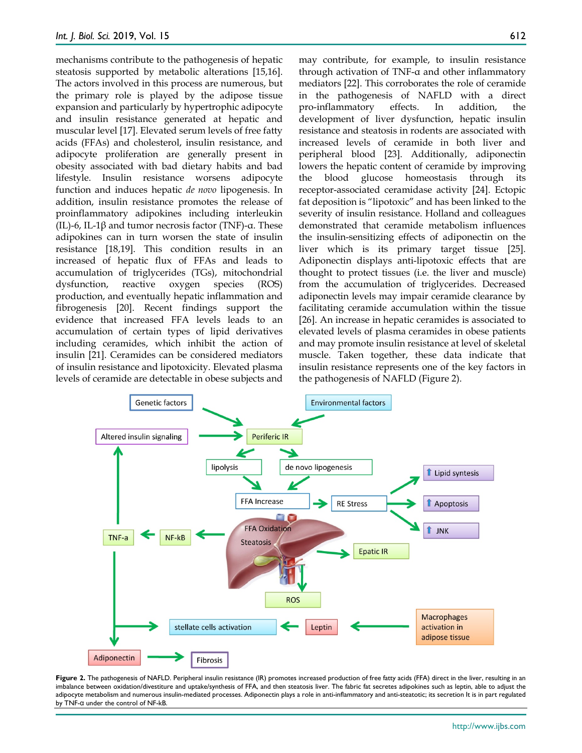mechanisms contribute to the pathogenesis of hepatic steatosis supported by metabolic alterations [15,16]. The actors involved in this process are numerous, but the primary role is played by the adipose tissue expansion and particularly by hypertrophic adipocyte and insulin resistance generated at hepatic and muscular level [17]. Elevated serum levels of free fatty acids (FFAs) and cholesterol, insulin resistance, and adipocyte proliferation are generally present in obesity associated with bad dietary habits and bad lifestyle. Insulin resistance worsens adipocyte function and induces hepatic *de novo* lipogenesis. In addition, insulin resistance promotes the release of proinflammatory adipokines including interleukin (IL)-6, IL-1β and tumor necrosis factor (TNF)-α. These adipokines can in turn worsen the state of insulin resistance [18,19]. This condition results in an increased of hepatic flux of FFAs and leads to accumulation of triglycerides (TGs), mitochondrial dysfunction, reactive oxygen species (ROS) production, and eventually hepatic inflammation and fibrogenesis [20]. Recent findings support the evidence that increased FFA levels leads to an accumulation of certain types of lipid derivatives including ceramides, which inhibit the action of insulin [21]. Ceramides can be considered mediators of insulin resistance and lipotoxicity. Elevated plasma levels of ceramide are detectable in obese subjects and

may contribute, for example, to insulin resistance through activation of TNF-α and other inflammatory mediators [22]. This corroborates the role of ceramide in the pathogenesis of NAFLD with a direct pro-inflammatory effects. In addition, the development of liver dysfunction, hepatic insulin resistance and steatosis in rodents are associated with increased levels of ceramide in both liver and peripheral blood [23]. Additionally, adiponectin lowers the hepatic content of ceramide by improving the blood glucose homeostasis through its receptor-associated ceramidase activity [24]. Ectopic fat deposition is "lipotoxic" and has been linked to the severity of insulin resistance. Holland and colleagues demonstrated that ceramide metabolism influences the insulin-sensitizing effects of adiponectin on the liver which is its primary target tissue [25]. Adiponectin displays anti-lipotoxic effects that are thought to protect tissues (i.e. the liver and muscle) from the accumulation of triglycerides. Decreased adiponectin levels may impair ceramide clearance by facilitating ceramide accumulation within the tissue [26]. An increase in hepatic ceramides is associated to elevated levels of plasma ceramides in obese patients and may promote insulin resistance at level of skeletal muscle. Taken together, these data indicate that insulin resistance represents one of the key factors in the pathogenesis of NAFLD (Figure 2).



Figure 2. The pathogenesis of NAFLD. Peripheral insulin resistance (IR) promotes increased production of free fatty acids (FFA) direct in the liver, resulting in an imbalance between oxidation/divestiture and uptake/synthesis of FFA, and then steatosis liver. The fabric fat secretes adipokines such as leptin, able to adjust the adipocyte metabolism and numerous insulin-mediated processes. Adiponectin plays a role in anti-inflammatory and anti-steatotic; its secretion It is in part regulated by TNF-α under the control of NF-kB.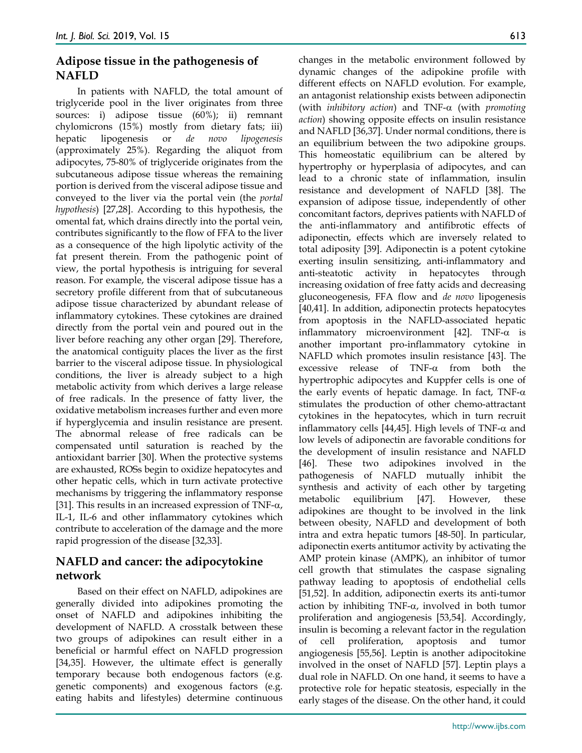## **Adipose tissue in the pathogenesis of NAFLD**

In patients with NAFLD, the total amount of triglyceride pool in the liver originates from three sources: i) adipose tissue (60%); ii) remnant chylomicrons (15%) mostly from dietary fats; iii) hepatic lipogenesis or *de novo lipogenesis* (approximately 25%). Regarding the aliquot from adipocytes, 75-80% of triglyceride originates from the subcutaneous adipose tissue whereas the remaining portion is derived from the visceral adipose tissue and conveyed to the liver via the portal vein (the *portal hypothesis*) [27,28]. According to this hypothesis, the omental fat, which drains directly into the portal vein, contributes significantly to the flow of FFA to the liver as a consequence of the high lipolytic activity of the fat present therein. From the pathogenic point of view, the portal hypothesis is intriguing for several reason. For example, the visceral adipose tissue has a secretory profile different from that of subcutaneous adipose tissue characterized by abundant release of inflammatory cytokines. These cytokines are drained directly from the portal vein and poured out in the liver before reaching any other organ [29]. Therefore, the anatomical contiguity places the liver as the first barrier to the visceral adipose tissue. In physiological conditions, the liver is already subject to a high metabolic activity from which derives a large release of free radicals. In the presence of fatty liver, the oxidative metabolism increases further and even more if hyperglycemia and insulin resistance are present. The abnormal release of free radicals can be compensated until saturation is reached by the antioxidant barrier [30]. When the protective systems are exhausted, ROSs begin to oxidize hepatocytes and other hepatic cells, which in turn activate protective mechanisms by triggering the inflammatory response [31]. This results in an increased expression of TNF-α, IL-1, IL-6 and other inflammatory cytokines which contribute to acceleration of the damage and the more rapid progression of the disease [32,33].

## **NAFLD and cancer: the adipocytokine network**

Based on their effect on NAFLD, adipokines are generally divided into adipokines promoting the onset of NAFLD and adipokines inhibiting the development of NAFLD. A crosstalk between these two groups of adipokines can result either in a beneficial or harmful effect on NAFLD progression [34,35]. However, the ultimate effect is generally temporary because both endogenous factors (e.g. genetic components) and exogenous factors (e.g. eating habits and lifestyles) determine continuous

changes in the metabolic environment followed by dynamic changes of the adipokine profile with different effects on NAFLD evolution. For example, an antagonist relationship exists between adiponectin (with *inhibitory action*) and TNF-α (with *promoting action*) showing opposite effects on insulin resistance and NAFLD [36,37]. Under normal conditions, there is an equilibrium between the two adipokine groups. This homeostatic equilibrium can be altered by hypertrophy or hyperplasia of adipocytes, and can lead to a chronic state of inflammation, insulin resistance and development of NAFLD [38]. The expansion of adipose tissue, independently of other concomitant factors, deprives patients with NAFLD of the anti-inflammatory and antifibrotic effects of adiponectin, effects which are inversely related to total adiposity [39]. Adiponectin is a potent cytokine exerting insulin sensitizing, anti-inflammatory and anti-steatotic activity in hepatocytes through increasing oxidation of free fatty acids and decreasing gluconeogenesis, FFA flow and *de novo* lipogenesis [40,41]. In addition, adiponectin protects hepatocytes from apoptosis in the NAFLD-associated hepatic inflammatory microenvironment [42]. TNF-α is another important pro-inflammatory cytokine in NAFLD which promotes insulin resistance [43]. The excessive release of TNF-α from both the hypertrophic adipocytes and Kuppfer cells is one of the early events of hepatic damage. In fact, TNF- $\alpha$ stimulates the production of other chemo-attractant cytokines in the hepatocytes, which in turn recruit inflammatory cells [44,45]. High levels of TNF- $α$  and low levels of adiponectin are favorable conditions for the development of insulin resistance and NAFLD [46]. These two adipokines involved in the pathogenesis of NAFLD mutually inhibit the synthesis and activity of each other by targeting metabolic equilibrium [47]. However, these adipokines are thought to be involved in the link between obesity, NAFLD and development of both intra and extra hepatic tumors [48-50]. In particular, adiponectin exerts antitumor activity by activating the AMP protein kinase (AMPK), an inhibitor of tumor cell growth that stimulates the caspase signaling pathway leading to apoptosis of endothelial cells [51,52]. In addition, adiponectin exerts its anti-tumor action by inhibiting TNF- $\alpha$ , involved in both tumor proliferation and angiogenesis [53,54]. Accordingly, insulin is becoming a relevant factor in the regulation of cell proliferation, apoptosis and tumor angiogenesis [55,56]. Leptin is another adipocitokine involved in the onset of NAFLD [57]. Leptin plays a dual role in NAFLD. On one hand, it seems to have a protective role for hepatic steatosis, especially in the early stages of the disease. On the other hand, it could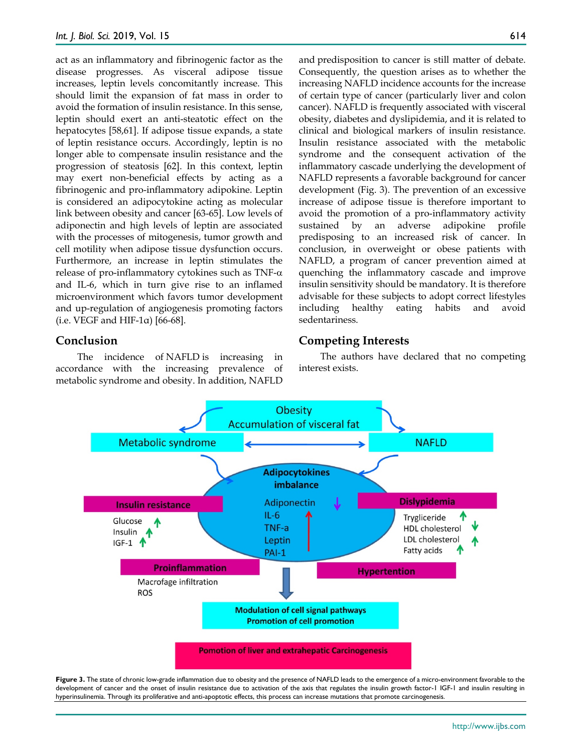act as an inflammatory and fibrinogenic factor as the disease progresses. As visceral adipose tissue increases, leptin levels concomitantly increase. This should limit the expansion of fat mass in order to avoid the formation of insulin resistance. In this sense, leptin should exert an anti-steatotic effect on the hepatocytes [58,61]. If adipose tissue expands, a state of leptin resistance occurs. Accordingly, leptin is no longer able to compensate insulin resistance and the progression of steatosis [62]. In this context, leptin may exert non-beneficial effects by acting as a fibrinogenic and pro-inflammatory adipokine. Leptin is considered an adipocytokine acting as molecular link between obesity and cancer [63-65]. Low levels of adiponectin and high levels of leptin are associated with the processes of mitogenesis, tumor growth and cell motility when adipose tissue dysfunction occurs. Furthermore, an increase in leptin stimulates the release of pro-inflammatory cytokines such as TNF- $\alpha$ and IL-6, which in turn give rise to an inflamed microenvironment which favors tumor development and up-regulation of angiogenesis promoting factors (i.e. VEGF and HIF-1 $\alpha$ ) [66-68].

#### **Conclusion**

The incidence of NAFLD is increasing in accordance with the increasing prevalence of metabolic syndrome and obesity. In addition, NAFLD and predisposition to cancer is still matter of debate. Consequently, the question arises as to whether the increasing NAFLD incidence accounts for the increase of certain type of cancer (particularly liver and colon cancer). NAFLD is frequently associated with visceral obesity, diabetes and dyslipidemia, and it is related to clinical and biological markers of insulin resistance. Insulin resistance associated with the metabolic syndrome and the consequent activation of the inflammatory cascade underlying the development of NAFLD represents a favorable background for cancer development (Fig. 3). The prevention of an excessive increase of adipose tissue is therefore important to avoid the promotion of a pro-inflammatory activity sustained by an adverse adipokine profile predisposing to an increased risk of cancer. In conclusion, in overweight or obese patients with NAFLD, a program of cancer prevention aimed at quenching the inflammatory cascade and improve insulin sensitivity should be mandatory. It is therefore advisable for these subjects to adopt correct lifestyles including healthy eating habits and avoid sedentariness.

### **Competing Interests**

The authors have declared that no competing interest exists.



**Figure 3.** The state of chronic low-grade inflammation due to obesity and the presence of NAFLD leads to the emergence of a micro-environment favorable to the development of cancer and the onset of insulin resistance due to activation of the axis that regulates the insulin growth factor-1 IGF-1 and insulin resulting in hyperinsulinemia. Through its proliferative and anti-apoptotic effects, this process can increase mutations that promote carcinogenesis.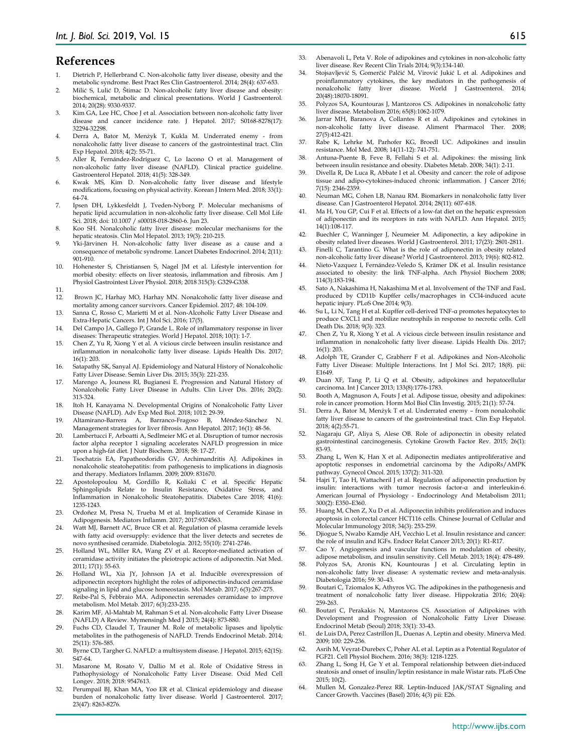#### **References**

- 1. Dietrich P, Hellerbrand C. Non-alcoholic fatty liver disease, obesity and the metabolic syndrome. Best Pract Res Clin Gastroenterol. 2014; 28(4): 637-653.
- 2. Milić S, Lulić D, Štimac D. Non-alcoholic fatty liver disease and obesity: biochemical, metabolic and clinical presentations. World J Gastroenterol. 2014; 20(28): 9330-9337.
- 3. Kim GA, Lee HC, Choe J et al. Association between non-alcoholic fatty liver disease and cancer incidence rate. J Hepatol. 2017; S0168-8278(17): 32294-32298.
- 4. Derra A, Bator M, Menżyk T, Kukla M. Underrated enemy from nonalcoholic fatty liver disease to cancers of the gastrointestinal tract. Clin Exp Hepatol. 2018; 4(2): 55-71.
- 5. Aller R, Fernández-Rodríguez C, Lo Iacono O et al. Management of non-alcoholic fatty liver disease (NAFLD). Clinical practice guideline. Gastroenterol Hepatol. 2018; 41(5): 328-349.
- 6. Kwak MS, Kim D. Non-alcoholic fatty liver disease and lifestyle modifications, focusing on physical activity. Korean J Intern Med. 2018; 33(1): 64-74.
- 7. Ipsen DH, Lykkesfeldt J, Tveden-Nyborg P. Molecular mechanisms of hepatic lipid accumulation in non-alcoholic fatty liver disease. Cell Mol Life Sci. 2018; doi: 10.1007 / s00018-018-2860-6. Jun 23.
- 8. Koo SH. Nonalcoholic fatty liver disease: molecular mechanisms for the hepatic steatosis. Clin Mol Hepatol. 2013; 19(3): 210-215.
- 9. Yki-Järvinen H. Non-alcoholic fatty liver disease as a cause and a consequence of metabolic syndrome. Lancet Diabetes Endocrinol. 2014; 2(11): 901-910.
- 10. Hohenester S, Christiansen S, Nagel JM et al. Lifestyle intervention for morbid obesity: effects on liver steatosis, inflammation and fibrosis. Am J Physiol Gastrointest Liver Physiol. 2018; 2018 315(3): G329-G338.
- 11.
- 12. Brown JC, Harhay MO, Harhay MN. Nonalcoholic fatty liver disease and mortality among cancer survivors. Cancer Epidemiol. 2017; 48: 104-109.
- 13. Sanna C, Rosso C, Marietti M et al. Non-Alcoholic Fatty Liver Disease and Extra-Hepatic Cancers. Int J Mol Sci. 2016; 17(5).
- 14. Del Campo JA, Gallego P, Grande L. Role of inflammatory response in liver diseases: Therapeutic strategies. World J Hepatol. 2018; 10(1): 1-7.
- 15. Chen Z, Yu R, Xiong Y et al. A vicious circle between insulin resistance and inflammation in nonalcoholic fatty liver disease. Lipids Health Dis. 2017; 16(1): 203.
- 16. Satapathy SK, Sanyal AJ. Epidemiology and Natural History of Nonalcoholic Fatty Liver Disease. Semin Liver Dis. 2015; 35(3): 221-235.
- 17. Marengo A, Jouness RI, Bugianesi E. Progression and Natural History of Nonalcoholic Fatty Liver Disease in Adults. Clin Liver Dis. 2016; 20(2): 313-324.
- 18. Itoh H, Kanayama N. Developmental Origins of Nonalcoholic Fatty Liver Disease (NAFLD). Adv Exp Med Biol. 2018; 1012: 29-39.
- 19. Altamirano-Barrera A, Barranco-Fragoso B, Méndez-Sánchez N. Management strategies for liver fibrosis. Ann Hepatol. 2017; 16(1): 48-56.
- 20. Lambertucci F, Arboatti A, Sedlmeier MG et al. Disruption of tumor necrosis factor alpha receptor 1 signaling accelerates NAFLD progression in mice upon a high-fat diet. J Nutr Biochem. 2018; 58: 17-27.
- 21. Tsochatzis EA, Papatheodoridis GV, Archimandritis AJ. Adipokines in nonalcoholic steatohepatitis: from pathogenesis to implications in diagnosis and therapy. Mediators Inflamm. 2009; 2009: 831670.
- 22. Apostolopoulou M, Gordillo R, Koliaki C et al. Specific Hepatic Sphingolipids Relate to Insulin Resistance, Oxidative Stress, and Inflammation in Nonalcoholic Steatohepatitis. Diabetes Care 2018; 41(6): 1235-1243.
- 23. Ordoñez M, Presa N, Trueba M et al. Implication of Ceramide Kinase in Adipogenesis. Mediators Inflamm. 2017; 2017:9374563.
- 24. Watt MJ, Barnett AC, Bruce CR et al. Regulation of plasma ceramide levels with fatty acid oversupply: evidence that the liver detects and secretes de novo synthesised ceramide. Diabetologia. 2012; 55(10): 2741-2746.
- 25. Holland WL, Miller RA, Wang ZV et al. Receptor-mediated activation of ceramidase activity initiates the pleiotropic actions of adiponectin. Nat Med. 2011; 17(1): 55-63.
- 26. Holland WL, Xia JY, Johnson JA et al. Inducible overexpression of adiponectin receptors highlight the roles of adiponectin-induced ceramidase signaling in lipid and glucose homeostasis. Mol Metab. 2017; 6(3):267-275.
- 27. Reibe-Pal S, Febbraio MA. Adiponectin serenades ceramidase to improve metabolism. Mol Metab. 2017; 6(3):233-235.
- 28. Karim MF, Al-Mahtab M, Rahman S et al. Non-alcoholic Fatty Liver Disease (NAFLD) A Review. Mymensingh Med J 2015; 24(4): 873-880.
- 29. Fuchs CD, Claudel T, Trauner M. Role of metabolic lipases and lipolytic metabolites in the pathogenesis of NAFLD. Trends Endocrinol Metab. 2014; 25(11): 576-585.
- 30. Byrne CD, Targher G. NAFLD: a multisystem disease. J Hepatol. 2015; 62(1S): S47-64.
- 31. Masarone M, Rosato V, Dallio M et al. Role of Oxidative Stress in Pathophysiology of Nonalcoholic Fatty Liver Disease. Oxid Med Cell Longev. 2018; 2018: 9547613.
- 32. Perumpail BJ, Khan MA, Yoo ER et al. Clinical epidemiology and disease burden of nonalcoholic fatty liver disease. World J Gastroenterol. 2017; 23(47): 8263-8276.
- 33. Abenavoli L, Peta V. Role of adipokines and cytokines in non-alcoholic fatty liver disease. Rev Recent Clin Trials 2014; 9(3):134-140.
- 34. Stojsavljević S, Gomerčić Palčić M, Virović Jukić L et al. Adipokines and proinflammatory cytokines, the key mediators in the pathogenesis of nonalcoholic fatty liver disease. World J Gastroenterol. 2014; 20(48):18070-18091.
- 35. Polyzos SA, Kountouras J, Mantzoros CS. Adipokines in nonalcoholic fatty liver disease. Metabolism 2016; 65(8):1062-1079.
- 36. Jarrar MH, Baranova A, Collantes R et al. Adipokines and cytokines in non-alcoholic fatty liver disease. Aliment Pharmacol Ther. 2008; 27(5):412-421.
- 37. Rabe K, Lehrke M, Parhofer KG, Broedl UC. Adipokines and insulin resistance. Mol Med. 2008; 14(11-12): 741-751.
- 38. Antuna-Puente B, Feve B, Fellahi S et al. Adipokines: the missing link between insulin resistance and obesity. Diabetes Metab. 2008; 34(1): 2-11.
- Divella R, De Luca R, Abbate I et al. Obesity and cancer: the role of adipose tissue and adipo-cytokines-induced chronic inflammation. J Cancer 2016; 7(15): 2346-2359.
- 40. Neuman MG, Cohen LB, Nanau RM. Biomarkers in nonalcoholic fatty liver disease. Can J Gastroenterol Hepatol. 2014; 28(11): 607-618.
- 41. Ma H, You GP, Cui F et al. Effects of a low-fat diet on the hepatic expression of adiponectin and its receptors in rats with NAFLD. Ann Hepatol. 2015; 14(1):108-117.
- 42. Buechler C, Wanninger J, Neumeier M. Adiponectin, a key adipokine in obesity related liver diseases. World J Gastroenterol. 2011; 17(23): 2801-2811.
- 43. Finelli C, Tarantino G. What is the role of adiponectin in obesity related non-alcoholic fatty liver disease? World J Gastroenterol. 2013; 19(6): 802-812.
- 44. Nieto-Vazquez I, Fernández-Veledo S, Krämer DK et al. Insulin resistance associated to obesity: the link TNF-alpha. Arch Physiol Biochem 2008; 114(3):183-194.
- 45. Sato A, Nakashima H, Nakashima M et al. Involvement of the TNF and FasL produced by CD11b Kupffer cells/macrophages in CCl4-induced acute hepatic injury. PLoS One 2014; 9(3).
- 46. Su L, Li N, Tang H et al. Kupffer cell-derived TNF-α promotes hepatocytes to produce CXCL1 and mobilize neutrophils in response to necrotic cells. Cell Death Dis. 2018; 9(3): 323.
- 47. Chen Z, Yu R, Xiong Y et al. A vicious circle between insulin resistance and inflammation in nonalcoholic fatty liver disease. Lipids Health Dis. 2017; 16(1): 203.
- 48. Adolph TE, Grander C, Grabherr F et al. Adipokines and Non-Alcoholic Fatty Liver Disease: Multiple Interactions. Int J Mol Sci. 2017; 18(8). pii: E1649.
- 49. Duan XF, Tang P, Li Q et al. Obesity, adipokines and hepatocellular carcinoma. Int J Cancer 2013; 133(8):1776-1783.
- 50. Booth A, Magnuson A, Fouts J et al. Adipose tissue, obesity and adipokines: role in cancer promotion. Horm Mol Biol Clin Investig. 2015; 21(1): 57-74.
- 51. Derra A, Bator M, Menżyk T et al. Underrated enemy from nonalcoholic fatty liver disease to cancers of the gastrointestinal tract. Clin Exp Hepatol. 2018; 4(2):55-71.
- 52. Nagaraju GP, Aliya S, Alese OB. Role of adiponectin in obesity related gastrointestinal carcinogenesis. Cytokine Growth Factor Rev. 2015; 26(1): 83-93.
- 53. Zhang L, Wen K, Han X et al. Adiponectin mediates antiproliferative and apoptotic responses in endometrial carcinoma by the AdipoRs/AMPK pathway. Gynecol Oncol. 2015; 137(2): 311-320.
- 54. Hajri T, Tao H, Wattacheril J et al. Regulation of adiponectin production by insulin: interactions with tumor necrosis factor-α and interleukin-6. American Journal of Physiology - Endocrinology And Metabolism 2011; 300(2): E350–E360.
- 55. Huang M, Chen Z, Xu D et al. Adiponectin inhibits proliferation and induces apoptosis in colorectal cancer HCT116 cells. Chinese Journal of Cellular and Molecular Immunology 2018; 34(3): 253-259.
- 56. Djiogue S, Nwabo Kamdje AH, Vecchio L et al. Insulin resistance and cancer: the role of insulin and IGFs. Endocr Relat Cancer 2013; 20(1): R1-R17.
- 57. Cao Y. Angiogenesis and vascular functions in modulation of obesity, adipose metabolism, and insulin sensitivity. Cell Metab. 2013; 18(4): 478-489.
- 58. Polyzos SA, Aronis KN, Kountouras J et al. Circulating leptin in non-alcoholic fatty liver disease: A systematic review and meta-analysis. Diabetologia 2016; 59: 30–43.
- 59. Boutari C, Tziomalos K, Athyros VG. The adipokines in the pathogenesis and treatment of nonalcoholic fatty liver disease. Hippokratia 2016; 20(4): 259-263.
- 60. Boutari C, Perakakis N, Mantzoros CS. Association of Adipokines with Development and Progression of Nonalcoholic Fatty Liver Disease. Endocrinol Metab (Seoul) 2018; 33(1): 33-43.
- 61. de Luis DA, Perez Castrillon JL, Duenas A. Leptin and obesity. Minerva Med. 2009; 100: 229-236.
- 62. Asrih M, Veyrat-Durebex C, Poher AL et al. Leptin as a Potential Regulator of FGF21. Cell Physiol Biochem. 2016; 38(3): 1218-1225.
- Zhang L, Song H, Ge Y et al. Temporal relationship between diet-induced steatosis and onset of insulin/leptin resistance in male Wistar rats. PLoS One 2015; 10(2).
- 64. Mullen M, Gonzalez-Perez RR. Leptin-Induced JAK/STAT Signaling and Cancer Growth. Vaccines (Basel) 2016; 4(3) pii: E26.